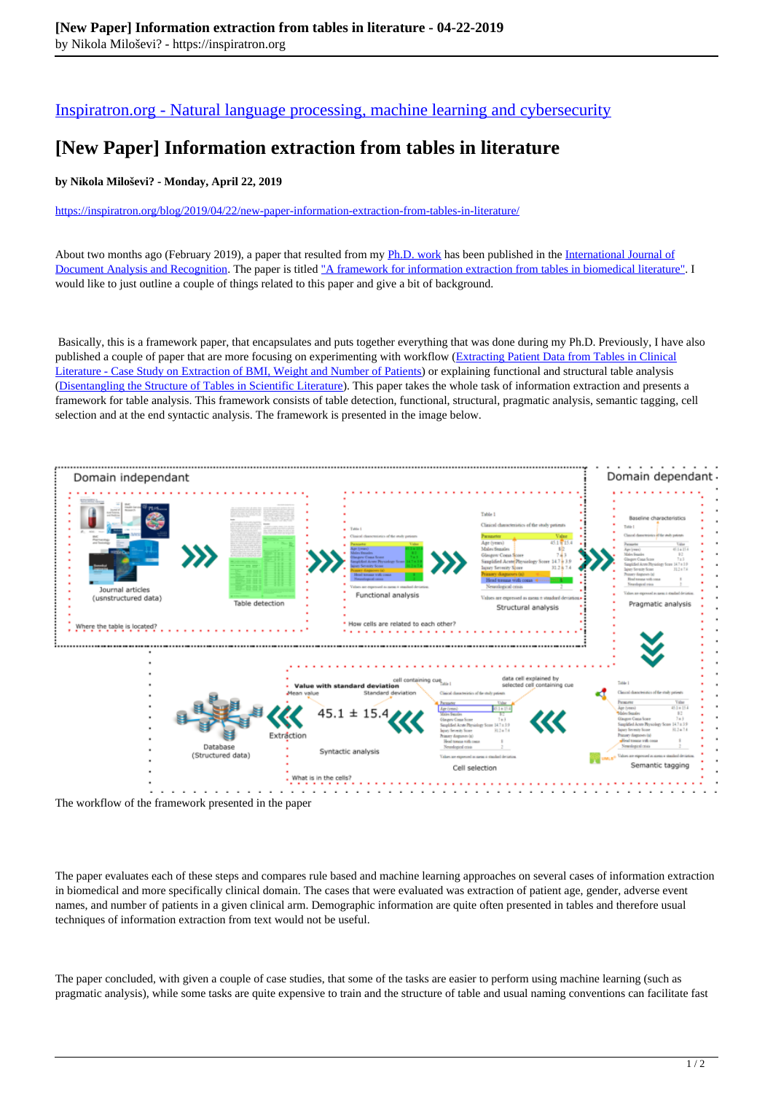[Inspiratron.org - Natural language processing, machine learning and cybersecurity](https://inspiratron.org)

## **[New Paper] Information extraction from tables in literature**

## **by Nikola Miloševi? - Monday, April 22, 2019**

https://inspiratron.org/blog/2019/04/22/new-paper-information-extraction-from-tables-in-literature/

About two months ago (February 2019), a paper that resulted from my Ph.D. work has been published in the International Journal of Document Analysis and Recognition. The paper is titled "A framework for information extraction from tables in biomedical literature". I would like to just outline a couple of things related to this paper and give a bit of background.

 Basically, this is a framework paper, that encapsulates and puts together everything that was done during my Ph.D. Previously, I have also published a couple of paper that are more focusing on experimenting with workflow (Extracting Patient Data from Tables in Clinical Literature - Case Study on Extraction of BMI, Weight and Number of Patients) or explaining functional and structural table analysis (Disentangling the Structure of Tables in Scientific Literature). This paper takes the whole task of information extraction and presents a framework for table analysis. This framework consists of table detection, functional, structural, pragmatic analysis, semantic tagging, cell selection and at the end syntactic analysis. The framework is presented in the image below.



The workflow of the framework presented in the paper

The paper evaluates each of these steps and compares rule based and machine learning approaches on several cases of information extraction in biomedical and more specifically clinical domain. The cases that were evaluated was extraction of patient age, gender, adverse event names, and number of patients in a given clinical arm. Demographic information are quite often presented in tables and therefore usual techniques of information extraction from text would not be useful.

The paper concluded, with given a couple of case studies, that some of the tasks are easier to perform using machine learning (such as pragmatic analysis), while some tasks are quite expensive to train and the structure of table and usual naming conventions can facilitate fast